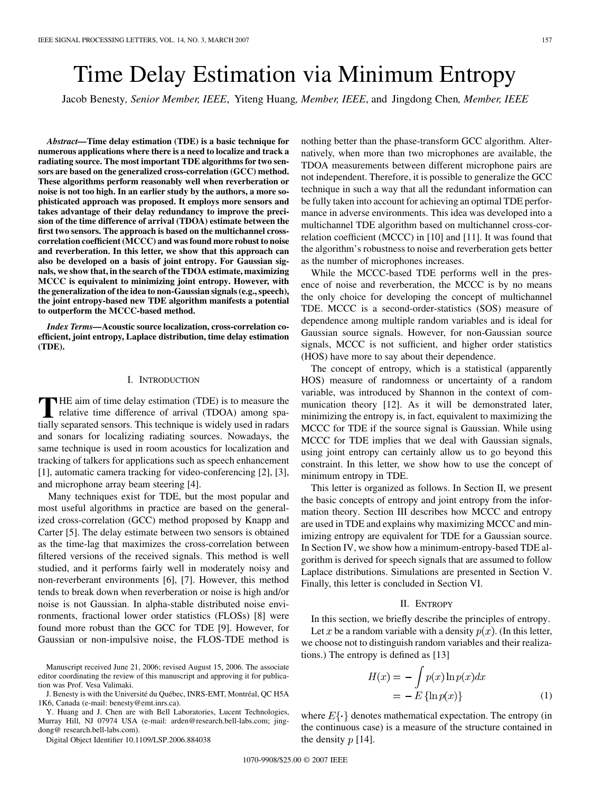# Time Delay Estimation via Minimum Entropy

Jacob Benesty*, Senior Member, IEEE*, Yiteng Huang*, Member, IEEE*, and Jingdong Chen*, Member, IEEE*

*Abstract—***Time delay estimation (TDE) is a basic technique for numerous applications where there is a need to localize and track a radiating source. The most important TDE algorithms for two sensors are based on the generalized cross-correlation (GCC) method. These algorithms perform reasonably well when reverberation or noise is not too high. In an earlier study by the authors, a more sophisticated approach was proposed. It employs more sensors and takes advantage of their delay redundancy to improve the precision of the time difference of arrival (TDOA) estimate between the first two sensors. The approach is based on the multichannel crosscorrelation coefficient (MCCC) and was found more robust to noise and reverberation. In this letter, we show that this approach can also be developed on a basis of joint entropy. For Gaussian signals, we show that, in the search of the TDOA estimate, maximizing MCCC is equivalent to minimizing joint entropy. However, with the generalization of the idea to non-Gaussian signals (e.g., speech), the joint entropy-based new TDE algorithm manifests a potential to outperform the MCCC-based method.**

*Index Terms—***Acoustic source localization, cross-correlation coefficient, joint entropy, Laplace distribution, time delay estimation (TDE).**

# I. INTRODUCTION

**T**HE aim of time delay estimation (TDE) is to measure the relative time difference of arrival (TDOA) among spa-<br>tially concerted soncers. This toolphique is widely used in rederation tially separated sensors. This technique is widely used in radars and sonars for localizing radiating sources. Nowadays, the same technique is used in room acoustics for localization and tracking of talkers for applications such as speech enhancement [\[1\],](#page-3-0) automatic camera tracking for video-conferencing [\[2\], \[3\],](#page-3-0) and microphone array beam steering [\[4\].](#page-3-0)

Many techniques exist for TDE, but the most popular and most useful algorithms in practice are based on the generalized cross-correlation (GCC) method proposed by Knapp and Carter [\[5\]](#page-3-0). The delay estimate between two sensors is obtained as the time-lag that maximizes the cross-correlation between filtered versions of the received signals. This method is well studied, and it performs fairly well in moderately noisy and non-reverberant environments [\[6\], \[7\].](#page-3-0) However, this method tends to break down when reverberation or noise is high and/or noise is not Gaussian. In alpha-stable distributed noise environments, fractional lower order statistics (FLOSs) [\[8\]](#page-3-0) were found more robust than the GCC for TDE [\[9\]](#page-3-0). However, for Gaussian or non-impulsive noise, the FLOS-TDE method is

J. Benesty is with the Université du Québec, INRS-EMT, Montréal, QC H5A 1K6, Canada (e-mail: benesty@emt.inrs.ca).

Y. Huang and J. Chen are with Bell Laboratories, Lucent Technologies, Murray Hill, NJ 07974 USA (e-mail: arden@research.bell-labs.com; jingdong@ research.bell-labs.com).

Digital Object Identifier 10.1109/LSP.2006.884038

nothing better than the phase-transform GCC algorithm. Alternatively, when more than two microphones are available, the TDOA measurements between different microphone pairs are not independent. Therefore, it is possible to generalize the GCC technique in such a way that all the redundant information can be fully taken into account for achieving an optimal TDE performance in adverse environments. This idea was developed into a multichannel TDE algorithm based on multichannel cross-correlation coefficient (MCCC) in [\[10\]](#page-3-0) and [\[11\].](#page-3-0) It was found that the algorithm's robustness to noise and reverberation gets better as the number of microphones increases.

While the MCCC-based TDE performs well in the presence of noise and reverberation, the MCCC is by no means the only choice for developing the concept of multichannel TDE. MCCC is a second-order-statistics (SOS) measure of dependence among multiple random variables and is ideal for Gaussian source signals. However, for non-Gaussian source signals, MCCC is not sufficient, and higher order statistics (HOS) have more to say about their dependence.

The concept of entropy, which is a statistical (apparently HOS) measure of randomness or uncertainty of a random variable, was introduced by Shannon in the context of communication theory [\[12\].](#page-3-0) As it will be demonstrated later, minimizing the entropy is, in fact, equivalent to maximizing the MCCC for TDE if the source signal is Gaussian. While using MCCC for TDE implies that we deal with Gaussian signals, using joint entropy can certainly allow us to go beyond this constraint. In this letter, we show how to use the concept of minimum entropy in TDE.

This letter is organized as follows. In Section II, we present the basic concepts of entropy and joint entropy from the information theory. [Section III](#page-1-0) describes how MCCC and entropy are used in TDE and explains why maximizing MCCC and minimizing entropy are equivalent for TDE for a Gaussian source. In [Section IV,](#page-2-0) we show how a minimum-entropy-based TDE algorithm is derived for speech signals that are assumed to follow Laplace distributions. Simulations are presented in [Section V.](#page-2-0) Finally, this letter is concluded in [Section VI](#page-3-0).

# II. ENTROPY

In this section, we briefly describe the principles of entropy. Let x be a random variable with a density  $p(x)$ . (In this letter, we choose not to distinguish random

See not to distinguish random variables and their realiza-  
\nThe entropy is defined as [13]

\n
$$
H(x) = -\int p(x) \ln p(x) dx
$$

$$
H(x) = -\int p(x) \ln p(x) dx
$$
  
= 
$$
-E \{\ln p(x)\}\
$$
 (1)

where  $E\{\cdot\}$  denotes mathematical expectation. The entropy (in the continuous case) is a measure of the structure contained in the density  $p$  [\[14\].](#page-3-0)

tions.)

Manuscript received June 21, 2006; revised August 15, 2006. The associate editor coordinating the review of this manuscript and approving it for publication was Prof. Vesa Valimaki.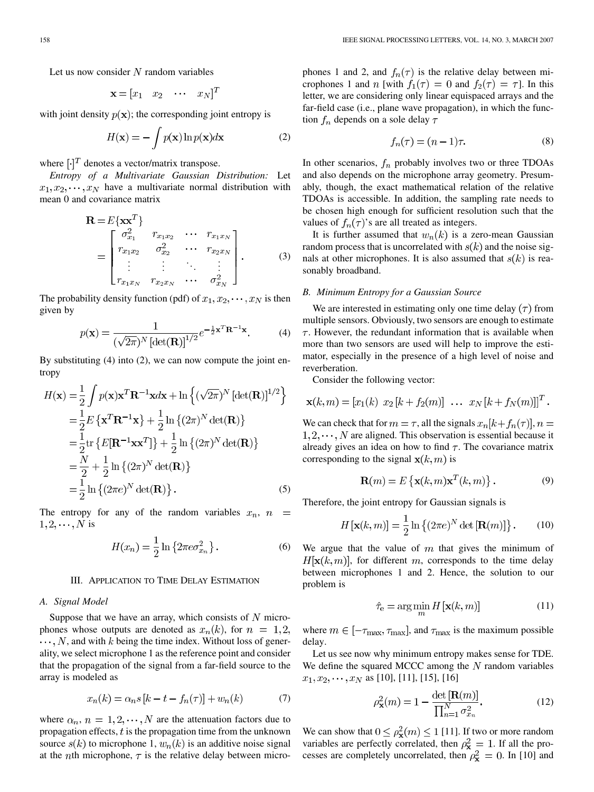<span id="page-1-0"></span>Let us now consider  $N$  random variables

$$
\mathbf{x} = \begin{bmatrix} x_1 & x_2 & \cdots & x_N \end{bmatrix}^T
$$

with joint density  $p(x)$ ; the corresponding joint entropy is

$$
H(\mathbf{x}) = -\int p(\mathbf{x}) \ln p(\mathbf{x}) d\mathbf{x}
$$
 (2)

where  $\lbrack \cdot \rbrack^T$  denotes a vector/matrix transpose.

*Entropy of a Multivariate Gaussian Distribution:* Let  $x_1, x_2, \dots, x_N$  have a multivariate normal distribution with mean 0 and covariance matrix

$$
\mathbf{R} = E\{\mathbf{x}\mathbf{x}^T\}
$$
  
\n
$$
= \begin{bmatrix} \sigma_{x_1}^2 & r_{x_1x_2} & \cdots & r_{x_1x_N} \\ r_{x_1x_2} & \sigma_{x_2}^2 & \cdots & r_{x_2x_N} \\ \vdots & \vdots & \ddots & \vdots \\ r_{x_1x_N} & r_{x_2x_N} & \cdots & \sigma_{x_N}^2 \end{bmatrix}.
$$
 (3)

The probability density function (pdf) of  $x_1, x_2, \dots, x_N$  is then given by

$$
p(\mathbf{x}) = \frac{1}{(\sqrt{2\pi})^N \left[ \det(\mathbf{R}) \right]^{1/2}} e^{-\frac{1}{2}\mathbf{x}^T \mathbf{R}^{-1} \mathbf{x}}.
$$
 (4)

By substituting (4) into (2), we can now compute the joint entropy

$$
H(\mathbf{x}) = \frac{1}{2} \int p(\mathbf{x}) \mathbf{x}^T \mathbf{R}^{-1} \mathbf{x} d\mathbf{x} + \ln \left\{ (\sqrt{2\pi})^N \left[ \det(\mathbf{R}) \right]^{1/2} \right\}
$$
  
\n
$$
= \frac{1}{2} E \left\{ \mathbf{x}^T \mathbf{R}^{-1} \mathbf{x} \right\} + \frac{1}{2} \ln \left\{ (2\pi)^N \det(\mathbf{R}) \right\}
$$
  
\n
$$
= \frac{1}{2} \text{tr} \left\{ E[\mathbf{R}^{-1} \mathbf{x} \mathbf{x}^T] \right\} + \frac{1}{2} \ln \left\{ (2\pi)^N \det(\mathbf{R}) \right\}
$$
  
\n
$$
= \frac{N}{2} + \frac{1}{2} \ln \left\{ (2\pi)^N \det(\mathbf{R}) \right\}
$$
  
\n
$$
= \frac{1}{2} \ln \left\{ (2\pi e)^N \det(\mathbf{R}) \right\}. \tag{5}
$$

The entropy for any of the random variables  $x_n$ ,  $n =$  $1, 2, \cdots, N$  is

$$
H(x_n) = \frac{1}{2} \ln \left\{ 2\pi e \sigma_{x_n}^2 \right\}.
$$
 (6)

### III. APPLICATION TO TIME DELAY ESTIMATION

#### *A. Signal Model*

Suppose that we have an array, which consists of  $N$  microphones whose outputs are denoted as  $x_n(k)$ , for  $n = 1, 2,$  $\cdots$ , N, and with k being the time index. Without loss of generality, we select microphone 1 as the reference point and consider that the propagation of the signal from a far-field source to the array is modeled as

$$
x_n(k) = \alpha_n s [k - t - f_n(\tau)] + w_n(k) \tag{7}
$$

where  $\alpha_n$ ,  $n = 1, 2, \dots, N$  are the attenuation factors due to propagation effects,  $t$  is the propagation time from the unknown source  $s(k)$  to microphone 1,  $w_n(k)$  is an additive noise signal at the *n*th microphone,  $\tau$  is the relative delay between micro-

phones 1 and 2, and  $f_n(\tau)$  is the relative delay between microphones 1 and n [with  $f_1(\tau) = 0$  and  $f_2(\tau) = \tau$ ]. In this letter, we are considering only linear equispaced arrays and the far-field case (i.e., plane wave propagation), in which the function  $f_n$  depends on a sole delay  $\tau$ 

$$
f_n(\tau) = (n-1)\tau.
$$
 (8)

In other scenarios,  $f_n$  probably involves two or three TDOAs and also depends on the microphone array geometry. Presumably, though, the exact mathematical relation of the relative TDOAs is accessible. In addition, the sampling rate needs to be chosen high enough for sufficient resolution such that the values of  $f_n(\tau)$ 's are all treated as integers.

It is further assumed that  $w_n(k)$  is a zero-mean Gaussian random process that is uncorrelated with  $s(k)$  and the noise signals at other microphones. It is also assumed that  $s(k)$  is reasonably broadband.

## *B. Minimum Entropy for a Gaussian Source*

We are interested in estimating only one time delay  $(\tau)$  from multiple sensors. Obviously, two sensors are enough to estimate  $\tau$ . However, the redundant information that is available when more than two sensors are used will help to improve the estimator, especially in the presence of a high level of noise and reverberation.

Consider the following vector:

$$
\mathbf{x}(k,m) = [x_1(k) \ \ x_2 \ [k + f_2(m)] \ \ \dots \ \ x_N \ [k + f_N(m)]]^T.
$$

We can check that for  $m = \tau$ , all the signals  $x_n[k+f_n(\tau)], n =$  $1, 2, \dots, N$  are aligned. This observation is essential because it already gives an idea on how to find  $\tau$ . The covariance matrix corresponding to the signal  $\mathbf{x}(k,m)$  is

$$
\mathbf{R}(m) = E\left\{ \mathbf{x}(k,m) \mathbf{x}^T(k,m) \right\}. \tag{9}
$$

Therefore, the joint entropy for Gaussian signals is

$$
H\left[\mathbf{x}(k,m)\right] = \frac{1}{2}\ln\left\{(2\pi e)^N \det\left[\mathbf{R}(m)\right]\right\}.
$$
 (10)

We argue that the value of  $m$  that gives the minimum of  $H[\mathbf{x}(k,m)]$ , for different m, corresponds to the time delay between microphones 1 and 2. Hence, the solution to our problem is

$$
\hat{\tau}_{\rm e} = \arg\min_{m} H\left[\mathbf{x}(k, m)\right] \tag{11}
$$

where  $m \in [-\tau_{\text{max}}, \tau_{\text{max}}]$ , and  $\tau_{\text{max}}$  is the maximum possible delay.

Let us see now why minimum entropy makes sense for TDE. We define the squared MCCC among the  $N$  random variables  $x_1, x_2, \dots, x_N$  as [\[10\]](#page-3-0), [\[11\]](#page-3-0), [\[15\], \[16\]](#page-3-0)

$$
\rho_{\mathbf{x}}^2(m) = 1 - \frac{\det[\mathbf{R}(m)]}{\prod_{n=1}^N \sigma_{x_n}^2}.
$$
 (12)

We can show that  $0 \le \rho_{\mathbf{x}}^2(m) \le 1$  [\[11\].](#page-3-0) If two or more random variables are perfectly correlated, then  $\rho_{\mathbf{x}}^2 = 1$ . If all the processes are completely uncorrelated, then  $\rho_{\mathbf{x}}^2 = 0$ . In [\[10\]](#page-3-0) and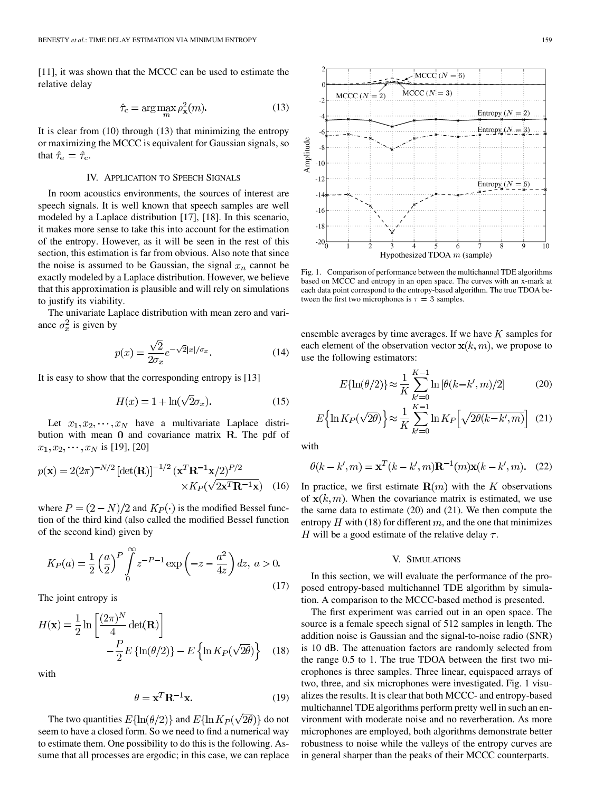<span id="page-2-0"></span>[\[11\],](#page-3-0) it was shown that the MCCC can be used to estimate the relative delay

$$
\hat{\tau}_{\rm c} = \arg \max_{m} \rho_{\mathbf{x}}^2(m). \tag{13}
$$

It is clear from [\(10\)](#page-1-0) through (13) that minimizing the entropy or maximizing the MCCC is equivalent for Gaussian signals, so that  $\hat{\tau}_{\rm e} = \hat{\tau}_{\rm c}$ .

# IV. APPLICATION TO SPEECH SIGNALS

In room acoustics environments, the sources of interest are speech signals. It is well known that speech samples are well modeled by a Laplace distribution [\[17\], \[18\].](#page-3-0) In this scenario, it makes more sense to take this into account for the estimation of the entropy. However, as it will be seen in the rest of this section, this estimation is far from obvious. Also note that since the noise is assumed to be Gaussian, the signal  $x_n$  cannot be exactly modeled by a Laplace distribution. However, we believe that this approximation is plausible and will rely on simulations to justify its viability.

The univariate Laplace distribution with mean zero and variance  $\sigma_x^2$  is given by

$$
p(x) = \frac{\sqrt{2}}{2\sigma_x} e^{-\sqrt{2}|x|/\sigma_x}.
$$
 (14)

It is easy to show that the corresponding entropy is [\[13\]](#page-3-0)

$$
H(x) = 1 + \ln(\sqrt{2}\sigma_x). \tag{15}
$$

Let  $x_1, x_2, \dots, x_N$  have a multivariate Laplace distribution with mean  $\theta$  and covariance matrix  $\bf{R}$ . The pdf of  $x_1, x_2, \dots, x_N$  is [\[19\]](#page-3-0), [\[20\]](#page-3-0)

$$
p(\mathbf{x}) = 2(2\pi)^{-N/2} \left[ \det(\mathbf{R}) \right]^{-1/2} \left( \mathbf{x}^T \mathbf{R}^{-1} \mathbf{x} / 2 \right)^{P/2} \times K_P(\sqrt{2\mathbf{x}^T \mathbf{R}^{-1} \mathbf{x}}) \tag{16}
$$

where  $P = (2 - N)/2$  and  $K_P(\cdot)$  is the modified Bessel function of the third kind (also called the modified Bessel function of the second kind) given by

$$
K_P(a) = \frac{1}{2} \left(\frac{a}{2}\right)^P \int_0^\infty z^{-P-1} \exp\left(-z - \frac{a^2}{4z}\right) dz, \ a > 0. \tag{17}
$$

The joint entropy is

$$
H(\mathbf{x}) = \frac{1}{2} \ln \left[ \frac{(2\pi)^N}{4} \det(\mathbf{R}) \right] - \frac{P}{2} E \left\{ \ln(\theta/2) \right\} - E \left\{ \ln K_P(\sqrt{2\theta}) \right\}
$$
(18)

with

$$
\theta = \mathbf{x}^T \mathbf{R}^{-1} \mathbf{x}.\tag{19}
$$

The two quantities  $E\{\ln(\theta/2)\}\$  and  $E\{\ln K_P(\sqrt{2\theta})\}\$  do not seem to have a closed form. So we need to find a numerical way to estimate them. One possibility to do this is the following. Assume that all processes are ergodic; in this case, we can replace



Fig. 1. Comparison of performance between the multichannel TDE algorithms based on MCCC and entropy in an open space. The curves with an x-mark at each data point correspond to the entropy-based algorithm. The true TDOA between the first two microphones is  $\tau = 3$  samples.

ensemble averages by time averages. If we have  $K$  samples for each element of the observation vector  $\mathbf{x}(k, m)$ , we propose to use the following estimators:

$$
E\{\ln(\theta/2)\} \approx \frac{1}{K} \sum_{k'=0}^{K-1} \ln[\theta(k-k',m)/2]
$$
 (20)

$$
E\Big\{\ln K_P(\sqrt{2\theta})\Big\} \approx \frac{1}{K} \sum_{k'=0}^{K-1} \ln K_P\Big[\sqrt{2\theta(k-k',m)}\Big] \tag{21}
$$

with

$$
\theta(k - k', m) = \mathbf{x}^T(k - k', m)\mathbf{R}^{-1}(m)\mathbf{x}(k - k', m). \tag{22}
$$

In practice, we first estimate  $\mathbf{R}(m)$  with the K observations of  $\mathbf{x}(k,m)$ . When the covariance matrix is estimated, we use the same data to estimate (20) and (21). We then compute the entropy  $H$  with (18) for different  $m$ , and the one that minimizes H will be a good estimate of the relative delay  $\tau$ .

## V. SIMULATIONS

In this section, we will evaluate the performance of the proposed entropy-based multichannel TDE algorithm by simulation. A comparison to the MCCC-based method is presented.

The first experiment was carried out in an open space. The source is a female speech signal of 512 samples in length. The addition noise is Gaussian and the signal-to-noise radio (SNR) is 10 dB. The attenuation factors are randomly selected from the range 0.5 to 1. The true TDOA between the first two microphones is three samples. Three linear, equispaced arrays of two, three, and six microphones were investigated. Fig. 1 visualizes the results. It is clear that both MCCC- and entropy-based multichannel TDE algorithms perform pretty well in such an environment with moderate noise and no reverberation. As more microphones are employed, both algorithms demonstrate better robustness to noise while the valleys of the entropy curves are in general sharper than the peaks of their MCCC counterparts.